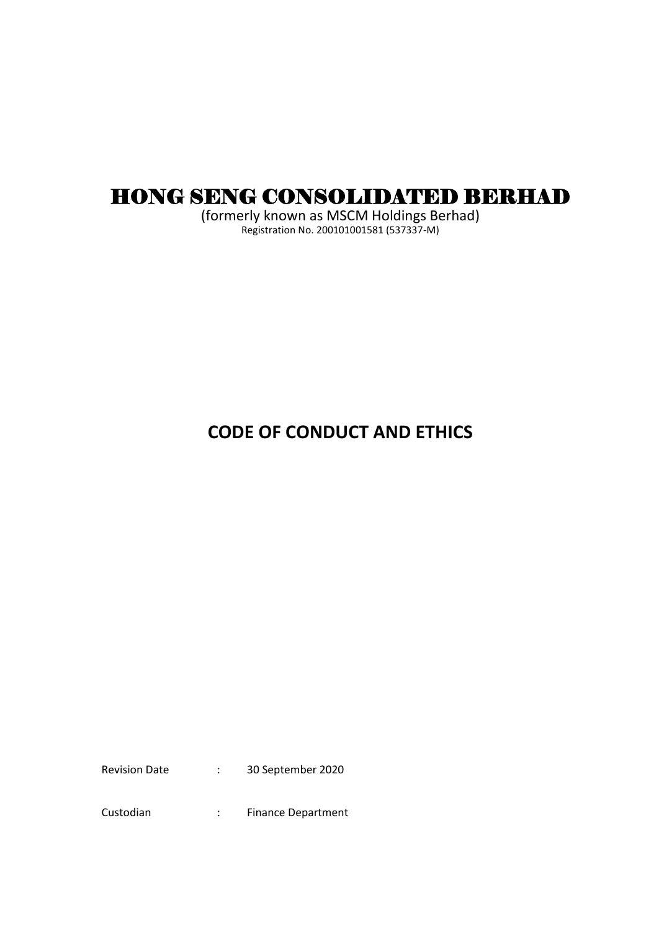# HONG SENG CONSOLIDATED BERHAD

(formerly known as MSCM Holdings Berhad) Registration No. 200101001581 (537337-M)

# **CODE OF CONDUCT AND ETHICS**

Revision Date : 30 September 2020

Custodian : Finance Department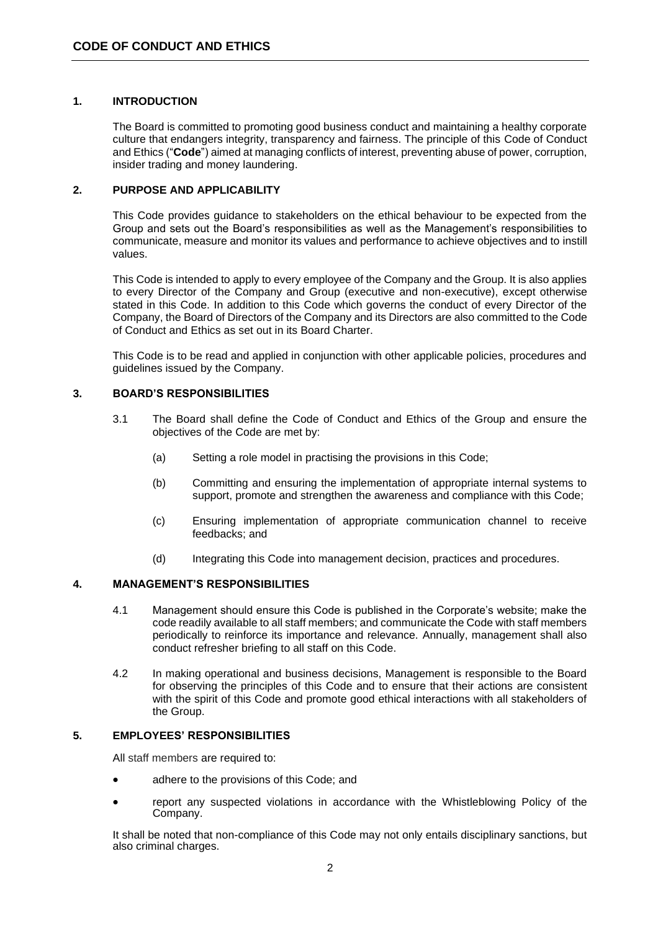### **1. INTRODUCTION**

The Board is committed to promoting good business conduct and maintaining a healthy corporate culture that endangers integrity, transparency and fairness. The principle of this Code of Conduct and Ethics ("**Code**") aimed at managing conflicts of interest, preventing abuse of power, corruption, insider trading and money laundering.

### **2. PURPOSE AND APPLICABILITY**

This Code provides guidance to stakeholders on the ethical behaviour to be expected from the Group and sets out the Board's responsibilities as well as the Management's responsibilities to communicate, measure and monitor its values and performance to achieve objectives and to instill values.

This Code is intended to apply to every employee of the Company and the Group. It is also applies to every Director of the Company and Group (executive and non-executive), except otherwise stated in this Code. In addition to this Code which governs the conduct of every Director of the Company, the Board of Directors of the Company and its Directors are also committed to the Code of Conduct and Ethics as set out in its Board Charter.

This Code is to be read and applied in conjunction with other applicable policies, procedures and guidelines issued by the Company.

#### **3. BOARD'S RESPONSIBILITIES**

- 3.1 The Board shall define the Code of Conduct and Ethics of the Group and ensure the objectives of the Code are met by:
	- (a) Setting a role model in practising the provisions in this Code;
	- (b) Committing and ensuring the implementation of appropriate internal systems to support, promote and strengthen the awareness and compliance with this Code;
	- (c) Ensuring implementation of appropriate communication channel to receive feedbacks; and
	- (d) Integrating this Code into management decision, practices and procedures.

### **4. MANAGEMENT'S RESPONSIBILITIES**

- 4.1 Management should ensure this Code is published in the Corporate's website; make the code readily available to all staff members; and communicate the Code with staff members periodically to reinforce its importance and relevance. Annually, management shall also conduct refresher briefing to all staff on this Code.
- 4.2 In making operational and business decisions, Management is responsible to the Board for observing the principles of this Code and to ensure that their actions are consistent with the spirit of this Code and promote good ethical interactions with all stakeholders of the Group.

#### **5. EMPLOYEES' RESPONSIBILITIES**

All staff members are required to:

- adhere to the provisions of this Code; and
- report any suspected violations in accordance with the Whistleblowing Policy of the Company.

It shall be noted that non-compliance of this Code may not only entails disciplinary sanctions, but also criminal charges.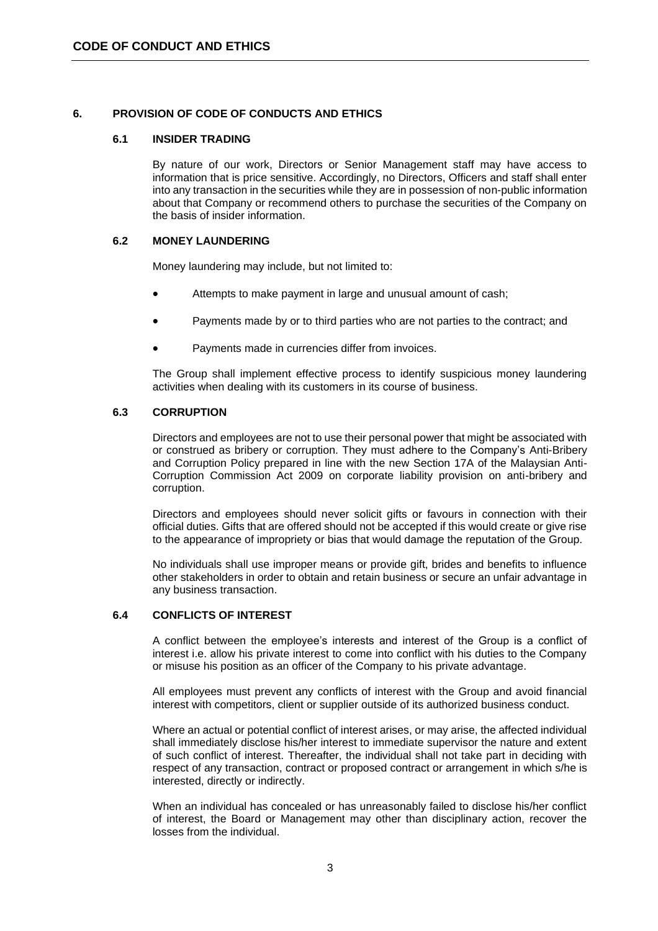# **6. PROVISION OF CODE OF CONDUCTS AND ETHICS**

### **6.1 INSIDER TRADING**

By nature of our work, Directors or Senior Management staff may have access to information that is price sensitive. Accordingly, no Directors, Officers and staff shall enter into any transaction in the securities while they are in possession of non-public information about that Company or recommend others to purchase the securities of the Company on the basis of insider information.

# **6.2 MONEY LAUNDERING**

Money laundering may include, but not limited to:

- Attempts to make payment in large and unusual amount of cash;
- Payments made by or to third parties who are not parties to the contract; and
- Payments made in currencies differ from invoices.

The Group shall implement effective process to identify suspicious money laundering activities when dealing with its customers in its course of business.

#### **6.3 CORRUPTION**

Directors and employees are not to use their personal power that might be associated with or construed as bribery or corruption. They must adhere to the Company's Anti-Bribery and Corruption Policy prepared in line with the new Section 17A of the Malaysian Anti-Corruption Commission Act 2009 on corporate liability provision on anti-bribery and corruption.

Directors and employees should never solicit gifts or favours in connection with their official duties. Gifts that are offered should not be accepted if this would create or give rise to the appearance of impropriety or bias that would damage the reputation of the Group.

No individuals shall use improper means or provide gift, brides and benefits to influence other stakeholders in order to obtain and retain business or secure an unfair advantage in any business transaction.

# **6.4 CONFLICTS OF INTEREST**

A conflict between the employee's interests and interest of the Group is a conflict of interest i.e. allow his private interest to come into conflict with his duties to the Company or misuse his position as an officer of the Company to his private advantage.

All employees must prevent any conflicts of interest with the Group and avoid financial interest with competitors, client or supplier outside of its authorized business conduct.

Where an actual or potential conflict of interest arises, or may arise, the affected individual shall immediately disclose his/her interest to immediate supervisor the nature and extent of such conflict of interest. Thereafter, the individual shall not take part in deciding with respect of any transaction, contract or proposed contract or arrangement in which s/he is interested, directly or indirectly.

When an individual has concealed or has unreasonably failed to disclose his/her conflict of interest, the Board or Management may other than disciplinary action, recover the losses from the individual.